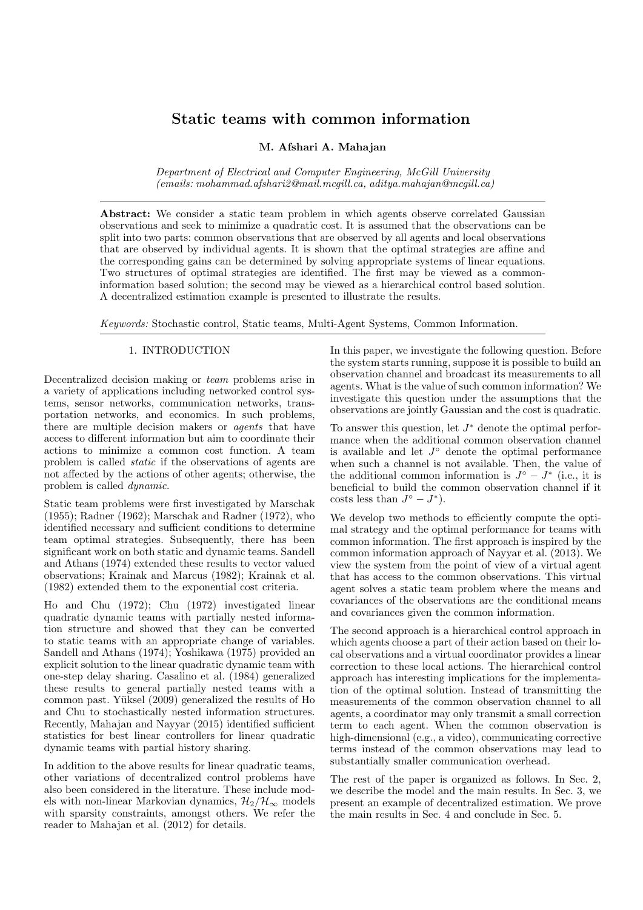# Static teams with common information

M. Afshari A. Mahajan

*Department of Electrical and Computer Engineering, McGill University (emails: mohammad.afshari2@mail.mcgill.ca, aditya.mahajan@mcgill.ca)*

Abstract: We consider a static team problem in which agents observe correlated Gaussian observations and seek to minimize a quadratic cost. It is assumed that the observations can be split into two parts: common observations that are observed by all agents and local observations that are observed by individual agents. It is shown that the optimal strategies are affine and the corresponding gains can be determined by solving appropriate systems of linear equations. Two structures of optimal strategies are identified. The first may be viewed as a commoninformation based solution; the second may be viewed as a hierarchical control based solution. A decentralized estimation example is presented to illustrate the results.

*Keywords:* Stochastic control, Static teams, Multi-Agent Systems, Common Information.

# 1. INTRODUCTION

Decentralized decision making or *team* problems arise in a variety of applications including networked control systems, sensor networks, communication networks, transportation networks, and economics. In such problems, there are multiple decision makers or *agents* that have access to different information but aim to coordinate their actions to minimize a common cost function. A team problem is called *static* if the observations of agents are not affected by the actions of other agents; otherwise, the problem is called *dynamic*.

Static team problems were first investigated by Marschak (1955); Radner (1962); Marschak and Radner (1972), who identified necessary and sufficient conditions to determine team optimal strategies. Subsequently, there has been significant work on both static and dynamic teams. Sandell and Athans (1974) extended these results to vector valued observations; Krainak and Marcus (1982); Krainak et al. (1982) extended them to the exponential cost criteria.

Ho and Chu (1972); Chu (1972) investigated linear quadratic dynamic teams with partially nested information structure and showed that they can be converted to static teams with an appropriate change of variables. Sandell and Athans (1974); Yoshikawa (1975) provided an explicit solution to the linear quadratic dynamic team with one-step delay sharing. Casalino et al. (1984) generalized these results to general partially nested teams with a common past. Yüksel (2009) generalized the results of Ho and Chu to stochastically nested information structures. Recently, Mahajan and Nayyar (2015) identified sufficient statistics for best linear controllers for linear quadratic dynamic teams with partial history sharing.

In addition to the above results for linear quadratic teams, other variations of decentralized control problems have also been considered in the literature. These include models with non-linear Markovian dynamics,  $\mathcal{H}_2/\mathcal{H}_{\infty}$  models with sparsity constraints, amongst others. We refer the reader to Mahajan et al. (2012) for details.

In this paper, we investigate the following question. Before the system starts running, suppose it is possible to build an observation channel and broadcast its measurements to all agents. What is the value of such common information? We investigate this question under the assumptions that the observations are jointly Gaussian and the cost is quadratic.

To answer this question, let  $J^*$  denote the optimal performance when the additional common observation channel is available and let  $J^{\circ}$  denote the optimal performance when such a channel is not available. Then, the value of the additional common information is  $J^{\circ} - J^*$  (i.e., it is beneficial to build the common observation channel if it costs less than  $J^{\circ} - J^*$ ).

We develop two methods to efficiently compute the optimal strategy and the optimal performance for teams with common information. The first approach is inspired by the common information approach of Nayyar et al. (2013). We view the system from the point of view of a virtual agent that has access to the common observations. This virtual agent solves a static team problem where the means and covariances of the observations are the conditional means and covariances given the common information.

The second approach is a hierarchical control approach in which agents choose a part of their action based on their local observations and a virtual coordinator provides a linear correction to these local actions. The hierarchical control approach has interesting implications for the implementation of the optimal solution. Instead of transmitting the measurements of the common observation channel to all agents, a coordinator may only transmit a small correction term to each agent. When the common observation is high-dimensional (e.g., a video), communicating corrective terms instead of the common observations may lead to substantially smaller communication overhead.

The rest of the paper is organized as follows. In Sec. 2, we describe the model and the main results. In Sec. 3, we present an example of decentralized estimation. We prove the main results in Sec. 4 and conclude in Sec. 5.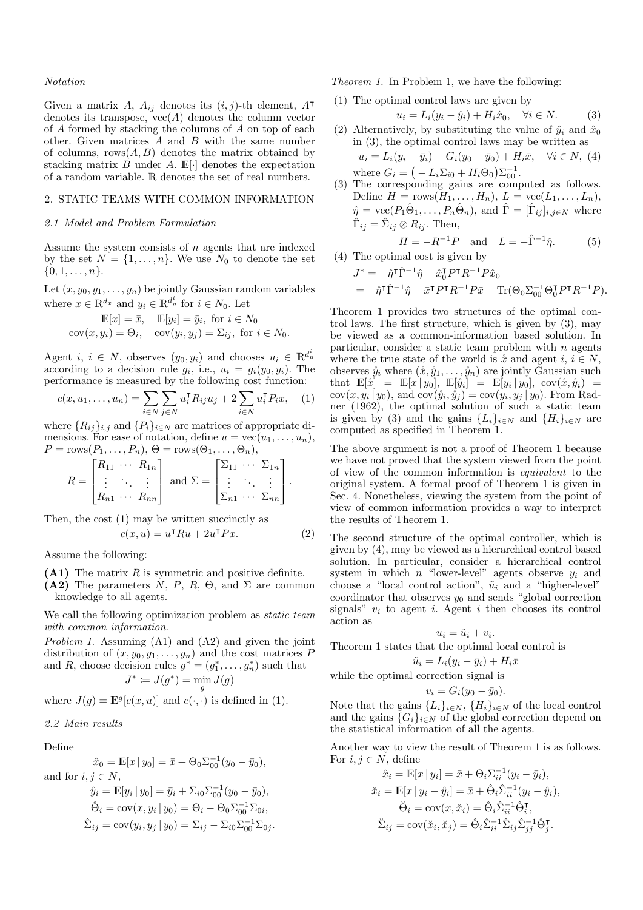#### *Notation*

Given a matrix A,  $A_{ij}$  denotes its  $(i, j)$ -th element, A<sup>T</sup> denotes its transpose,  $vec(A)$  denotes the column vector of A formed by stacking the columns of A on top of each other. Given matrices A and B with the same number of columns,  $rows(A, B)$  denotes the matrix obtained by stacking matrix  $B$  under  $A$ .  $\mathbb{E}[\cdot]$  denotes the expectation of a random variable. R denotes the set of real numbers.

## 2. STATIC TEAMS WITH COMMON INFORMATION

#### *2.1 Model and Problem Formulation*

Assume the system consists of n agents that are indexed by the set  $N = \{1, \ldots, n\}$ . We use  $N_0$  to denote the set  $\{0, 1, \ldots, n\}.$ 

Let  $(x, y_0, y_1, \ldots, y_n)$  be jointly Gaussian random variables where  $x \in \mathbb{R}^{d_x}$  and  $y_i \in \mathbb{R}^{d_y^i}$  for  $i \in N_0$ . Let

$$
\mathbb{E}[x] = \bar{x}, \quad \mathbb{E}[y_i] = \bar{y}_i, \text{ for } i \in N_0
$$
  
 
$$
cov(x, y_i) = \Theta_i, \quad cov(y_i, y_j) = \Sigma_{ij}, \text{ for } i \in N_0.
$$

Agent *i*,  $i \in N$ , observes  $(y_0, y_i)$  and chooses  $u_i \in \mathbb{R}^{d_u^i}$ according to a decision rule  $g_i$ , i.e.,  $u_i = g_i(y_0, y_i)$ . The performance is measured by the following cost function:

$$
c(x, u_1, \dots, u_n) = \sum_{i \in N} \sum_{j \in N} u_i^{\mathsf{T}} R_{ij} u_j + 2 \sum_{i \in N} u_i^{\mathsf{T}} P_i x, \quad (1)
$$

where  $\{R_{ij}\}_{i,j}$  and  $\{P_i\}_{i\in\mathbb{N}}$  are matrices of appropriate dimensions. For ease of notation, define  $u = \text{vec}(u_1, \ldots, u_n)$ ,  $P = \text{rows}(P_1, \ldots, P_n), \Theta = \text{rows}(\Theta_1, \ldots, \Theta_n),$ 

$$
R = \begin{bmatrix} R_{11} & \cdots & R_{1n} \\ \vdots & \ddots & \vdots \\ R_{n1} & \cdots & R_{nn} \end{bmatrix} \text{ and } \Sigma = \begin{bmatrix} \Sigma_{11} & \cdots & \Sigma_{1n} \\ \vdots & \ddots & \vdots \\ \Sigma_{n1} & \cdots & \Sigma_{nn} \end{bmatrix}.
$$

Then, the cost (1) may be written succinctly as

$$
c(x, u) = u^{\mathsf{T}} R u + 2u^{\mathsf{T}} P x.
$$
 (2)

Assume the following:

 $(A1)$  The matrix R is symmetric and positive definite.

 $(A2)$  The parameters N, P, R,  $\Theta$ , and  $\Sigma$  are common knowledge to all agents.

We call the following optimization problem as *static team with common information*.

*Problem 1.* Assuming (A1) and (A2) and given the joint distribution of  $(x, y_0, y_1, \ldots, y_n)$  and the cost matrices P and R, choose decision rules  $g^* = (g_1^*, \ldots, g_n^*)$  such that  $J^* \coloneqq J(g^*) = \min_g J(g)$ 

where  $J(g) = \mathbb{E}^{g}[c(x, u)]$  and  $c(\cdot, \cdot)$  is defined in (1).

#### *2.2 Main results*

Define

$$
\hat{x}_0 = \mathbb{E}[x \mid y_0] = \bar{x} + \Theta_0 \Sigma_{00}^{-1} (y_0 - \bar{y}_0),
$$
  
and for  $i, j \in N$ ,

$$
\hat{y}_i = \mathbb{E}[y_i | y_0] = \bar{y}_i + \Sigma_{i0} \Sigma_{00}^{-1} (y_0 - \bar{y}_0),
$$
  
\n
$$
\hat{\Theta}_i = \text{cov}(x, y_i | y_0) = \Theta_i - \Theta_0 \Sigma_{00}^{-1} \Sigma_{0i},
$$
  
\n
$$
\hat{\Sigma}_{ij} = \text{cov}(y_i, y_j | y_0) = \Sigma_{ij} - \Sigma_{i0} \Sigma_{00}^{-1} \Sigma_{0j}.
$$

*Theorem 1.* In Problem 1, we have the following:

(1) The optimal control laws are given by

$$
u_i = L_i(y_i - \hat{y}_i) + H_i \hat{x}_0, \quad \forall i \in N. \tag{3}
$$

- (2) Alternatively, by substituting the value of  $\hat{y}_i$  and  $\hat{x}_0$ in (3), the optimal control laws may be written as  $u_i = L_i(y_i - \bar{y}_i) + G_i(y_0 - \bar{y}_0) + H_i\bar{x}, \quad \forall i \in N, (4)$
- where  $G_i = \left(-L_i \Sigma_{i0} + H_i \Theta_0\right) \Sigma_{00}^{-1}$ . (3) The corresponding gains are computed as follows. Define  $H = \text{rows}(H_1, \ldots, H_n), L = \text{vec}(L_1, \ldots, L_n),$  $\hat{\eta} = \text{vec}(P_1 \hat{\Theta}_1, \dots, P_n \hat{\Theta}_n)$ , and  $\hat{\Gamma} = [\hat{\Gamma}_{ij}]_{i,j \in N}$  where  $\hat{\Gamma}_{ij} = \hat{\Sigma}_{ij} \otimes R_{ij}$ . Then,

$$
H = -R^{-1}P \text{ and } L = -\hat{\Gamma}^{-1}\hat{\eta}.
$$
 (5)

(4) The optimal cost is given by 
$$
[Equation goes here]
$$

$$
J^* = -\hat{\eta}^\mathsf{T} \hat{\Gamma}^{-1} \hat{\eta} - \hat{x}_0^\mathsf{T} P^\mathsf{T} R^{-1} P \hat{x}_0
$$
  
=  $-\hat{\eta}^\mathsf{T} \hat{\Gamma}^{-1} \hat{\eta} - \bar{x}^\mathsf{T} P^\mathsf{T} R^{-1} P \bar{x} - \text{Tr}(\Theta_0 \Sigma_{00}^{-1} \Theta_0^\mathsf{T} P^\mathsf{T} R^{-1} P).$ 

Theorem 1 provides two structures of the optimal control laws. The first structure, which is given by (3), may be viewed as a common-information based solution. In particular, consider a static team problem with  $n$  agents where the true state of the world is  $\mathring{x}$  and agent  $i, i \in N$ , observes  $\mathring{y}_i$  where  $(\mathring{x}, \mathring{y}_1, \ldots, \mathring{y}_n)$  are jointly Gaussian such  $\text{that } \mathbb{E}[\tilde{x}] = \mathbb{E}[x \mid y_0], \ \mathbb{E}[\tilde{y}_i] = \mathbb{E}[y_i \mid y_0], \ \text{cov}(\tilde{x}, \tilde{y}_i) =$  $cov(x, y_i | y_0)$ , and  $cov(\hat{y}_i, \hat{y}_j) = cov(y_i, y_j | y_0)$ . From Radner (1962), the optimal solution of such a static team is given by (3) and the gains  $\{L_i\}_{i\in\mathbb{N}}$  and  $\{H_i\}_{i\in\mathbb{N}}$  are computed as specified in Theorem 1.

The above argument is not a proof of Theorem 1 because we have not proved that the system viewed from the point of view of the common information is *equivalent* to the original system. A formal proof of Theorem 1 is given in Sec. 4. Nonetheless, viewing the system from the point of view of common information provides a way to interpret the results of Theorem 1.

The second structure of the optimal controller, which is given by (4), may be viewed as a hierarchical control based solution. In particular, consider a hierarchical control system in which n "lower-level" agents observe  $y_i$  and choose a "local control action",  $\tilde{u}_i$  and a "higher-level" coordinator that observes  $y_0$  and sends "global correction" signals"  $v_i$  to agent i. Agent i then chooses its control action as

$$
u_i = \tilde{u}_i + v_i.
$$

Theorem 1 states that the optimal local control is

$$
\tilde{u}_i = L_i(y_i - \bar{y}_i) + H_i \bar{x}
$$

while the optimal correction signal is

$$
v_i = G_i(y_0 - \bar{y}_0).
$$

Note that the gains  $\{L_i\}_{i\in N}$ ,  $\{H_i\}_{i\in N}$  of the local control and the gains  $\{G_i\}_{i\in\mathbb{N}}$  of the global correction depend on the statistical information of all the agents.

Another way to view the result of Theorem 1 is as follows. For  $i, j \in N$ , define

$$
\hat{x}_i = \mathbb{E}[x \mid y_i] = \bar{x} + \Theta_i \Sigma_{ii}^{-1} (y_i - \bar{y}_i),
$$
  
\n
$$
\check{x}_i = \mathbb{E}[x \mid y_i - \hat{y}_i] = \bar{x} + \hat{\Theta}_i \hat{\Sigma}_{ii}^{-1} (y_i - \hat{y}_i),
$$
  
\n
$$
\check{\Theta}_i = \text{cov}(x, \check{x}_i) = \hat{\Theta}_i \hat{\Sigma}_{ii}^{-1} \hat{\Theta}_i^{\mathsf{T}},
$$
  
\n
$$
\check{\Sigma}_{ij} = \text{cov}(\check{x}_i, \check{x}_j) = \hat{\Theta}_i \hat{\Sigma}_{ii}^{-1} \hat{\Sigma}_{ij} \hat{\Sigma}_{jj}^{-1} \hat{\Theta}_j^{\mathsf{T}}.
$$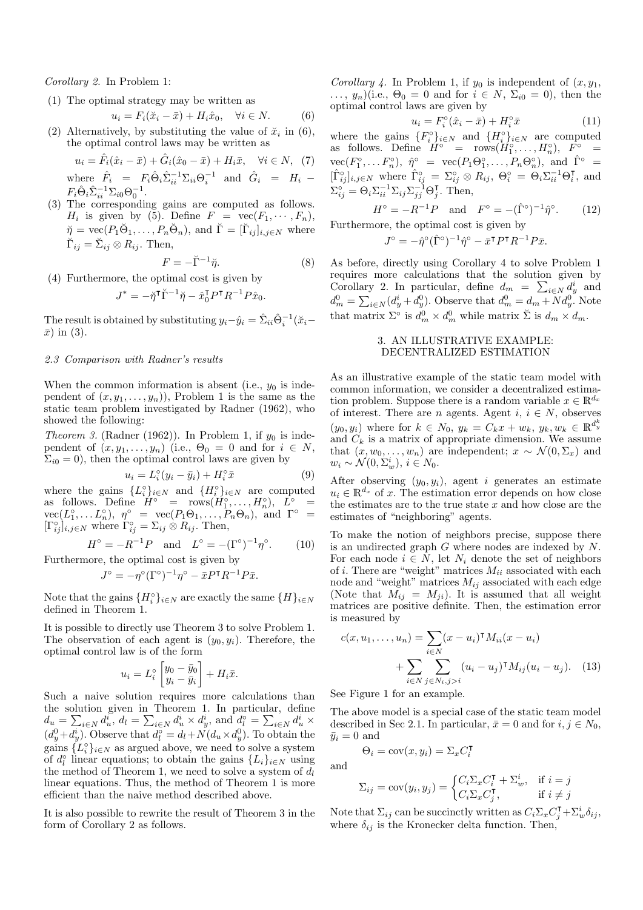*Corollary 2.* In Problem 1:

(1) The optimal strategy may be written as

$$
u_i = F_i(\tilde{x}_i - \bar{x}) + H_i \hat{x}_0, \quad \forall i \in N. \tag{6}
$$

(2) Alternatively, by substituting the value of  $\ddot{x}_i$  in (6), the optimal control laws may be written as

$$
u_i = \hat{F}_i(\hat{x}_i - \bar{x}) + \hat{G}_i(\hat{x}_0 - \bar{x}) + H_i\bar{x}, \quad \forall i \in N, \tag{7}
$$

where  $\hat{F}_i = F_i \hat{\Theta}_i \hat{\Sigma}_{ii}^{-1} \Sigma_{ii} \Theta_i^{-1}$  and  $\hat{G}_i = H_i F_i \hat{\Theta}_i \hat{\Sigma}_{ii}^{-1} \Sigma_{i0} \Theta_0^{-1}.$ 

(3) The corresponding gains are computed as follows.  $H_i$  is given by (5). Define  $F = \text{vec}(F_1, \dots, F_n)$ ,  $\breve{\eta} = \text{vec}(P_1 \breve{\Theta}_1, \dots, P_n \breve{\Theta}_n)$ , and  $\breve{\Gamma} = [\breve{\Gamma}_{ij}]_{i,j \in N}$  where  $\breve{\Gamma}_{ij} = \breve{\Sigma}_{ij} \otimes R_{ij}$ . Then,

$$
F = -\breve{\Gamma}^{-1}\breve{\eta}.\tag{8}
$$

(4) Furthermore, the optimal cost is given by

$$
J^* = -\breve{\eta}^\intercal \breve{\Gamma}^{-1} \breve{\eta} - \hat{x}_0^\intercal P^\intercal R^{-1} P \hat{x}_0.
$$

The result is obtained by substituting  $y_i - \hat{y}_i = \hat{\Sigma}_{ii} \hat{\Theta}_i^{-1} (\check{x}_i \bar{x})$  in (3).

## *2.3 Comparison with Radner's results*

When the common information is absent (i.e.,  $y_0$  is independent of  $(x, y_1, \ldots, y_n)$ , Problem 1 is the same as the static team problem investigated by Radner (1962), who showed the following:

*Theorem 3.* (Radner (1962)). In Problem 1, if  $y_0$  is independent of  $(x, y_1, \ldots, y_n)$  (i.e.,  $\Theta_0 = 0$  and for  $i \in N$ ,  $\Sigma_{i0} = 0$ , then the optimal control laws are given by

$$
u_i = L_i^{\circ}(y_i - \bar{y}_i) + H_i^{\circ}\bar{x}
$$
 (9)

where the gains  ${L_i^{\circ}}_{i \in N}$  and  ${H_i^{\circ}}_{i \in N}$  are computed as follows. Define  $H^{\circ}$  =  $rows(H^{\circ}_1,\ldots,H^{\circ}_n), \quad L^{\circ}$  =  $vec(L_1^{\circ}, \ldots L_n^{\circ}), \eta^{\circ} = vec(P_1 \Theta_1, \ldots, P_n \Theta_n), \text{ and } \Gamma^{\circ} =$  $[\Gamma_{ij}^{\circ}]_{i,j\in N}$  where  $\Gamma_{ij}^{\circ} = \Sigma_{ij} \otimes R_{ij}$ . Then,

$$
H^{\circ} = -R^{-1}P
$$
 and  $L^{\circ} = -(\Gamma^{\circ})^{-1}\eta^{\circ}$ . (10)

Furthermore, the optimal cost is given by

$$
J^{\circ} = -\eta^{\circ}(\Gamma^{\circ})^{-1}\eta^{\circ} - \bar{x}P^{\mathsf{T}}R^{-1}P\bar{x}.
$$

Note that the gains  ${H_i^{\circ}}_{i \in N}$  are exactly the same  ${H}_{i \in N}$ defined in Theorem 1.

It is possible to directly use Theorem 3 to solve Problem 1. The observation of each agent is  $(y_0, y_i)$ . Therefore, the optimal control law is of the form

$$
u_i = L_i^{\circ} \begin{bmatrix} y_0 - \bar{y}_0 \\ y_i - \bar{y}_i \end{bmatrix} + H_i \bar{x}.
$$

Such a naive solution requires more calculations than the solution given in Theorem 1. In particular, define  $d_u = \sum_{i \in N} d_u^i$ ,  $d_l = \sum_{i \in N} d_u^i \times d_y^i$ , and  $d_l^{\circ} = \sum_{i \in N} d_u^i \times d_u^i$  $(d_y^0 + d_y^i)$ . Observe that  $d_l^0 = d_l + N(d_u \times d_y^0)$ . To obtain the gains  $\{L_i^{\circ}\}_{i\in\mathbb{N}}$  as argued above, we need to solve a system of  $d_i^{\circ}$  linear equations; to obtain the gains  $\{L_i\}_{i\in\mathbb{N}}$  using the method of Theorem 1, we need to solve a system of  $d_l$ linear equations. Thus, the method of Theorem 1 is more efficient than the naive method described above.

It is also possible to rewrite the result of Theorem 3 in the form of Corollary 2 as follows.

*Corollary 4.* In Problem 1, if  $y_0$  is independent of  $(x, y_1,$  $\ldots, y_n$ )(i.e.,  $\Theta_0 = 0$  and for  $i \in N$ ,  $\Sigma_{i0} = 0$ ), then the optimal control laws are given by

$$
u_i = F_i^{\circ}(\hat{x}_i - \bar{x}) + H_i^{\circ}\bar{x}
$$
 (11)

where the gains  ${F_i^{\circ}}_{i \in N}$  and  ${H_i^{\circ}}_{i \in N}$  are computed as follows. Define  $H^{\circ}$  =  $rows(H^{\circ}_1,\ldots,H^{\circ}_n), F^{\circ}$  =  $vec(F_1^{\circ},...F_n^{\circ}), \hat{\eta}^{\circ} = vec(P_1\Theta_1^{\circ},...,P_n\Theta_n^{\circ}), \text{ and } \hat{\Gamma}^{\circ} =$  $[\hat{\Gamma}_{ij}^{\circ}]_{i,j\in N}$  where  $\hat{\Gamma}_{ij}^{\circ} = \Sigma_{ij}^{\circ} \otimes R_{ij}, \Theta_i^{\circ} = \Theta_i \Sigma_{ii}^{-1} \Theta_i^{\mathsf{T}},$  and  $\Sigma_{ij}^{\circ} = \Theta_i \Sigma_{ii}^{-1} \Sigma_{ij} \Sigma_{jj}^{-1} \Theta_j^{\mathsf{T}}$ . Then,

$$
H^{\circ} = -R^{-1}P \text{ and } F^{\circ} = -(\hat{\Gamma}^{\circ})^{-1}\hat{\eta}^{\circ}.
$$
 (12)  
Furthermore, the optimal cost is given by

$$
J^{\circ} = -\hat{\eta}^{\circ}(\hat{\Gamma}^{\circ})^{-1}\hat{\eta}^{\circ} - \bar{x}^{\mathsf{T}}P^{\mathsf{T}}R^{-1}P\bar{x}.
$$

As before, directly using Corollary 4 to solve Problem 1 requires more calculations that the solution given by Corollary 2. In particular, define  $d_m = \sum_{i \in N} d_y^i$  and  $d_m^0 = \sum_{i \in N} (d_y^i + d_y^0)$ . Observe that  $d_m^0 = d_m + N d_y^0$ . Note that matrix  $\Sigma^{\circ}$  is  $d_m^0 \times d_m^0$  while matrix  $\check{\Sigma}$  is  $d_m \times d_m$ .

## 3. AN ILLUSTRATIVE EXAMPLE: DECENTRALIZED ESTIMATION

As an illustrative example of the static team model with common information, we consider a decentralized estimation problem. Suppose there is a random variable  $x \in \mathbb{R}^{d_x}$ of interest. There are *n* agents. Agent  $i, i \in N$ , observes  $(y_0, y_i)$  where for  $k \in N_0$ ,  $y_k = C_k x + w_k$ ,  $y_k, w_k \in \mathbb{R}^{d_y^k}$ and  $C_k$  is a matrix of appropriate dimension. We assume that  $(x, w_0, \ldots, w_n)$  are independent;  $x \sim \mathcal{N}(0, \Sigma_x)$  and  $w_i \sim \mathcal{N}(0, \Sigma_w^i), i \in N_0.$ 

After observing  $(y_0, y_i)$ , agent i generates an estimate  $u_i \in \mathbb{R}^{d_x}$  of x. The estimation error depends on how close the estimates are to the true state  $x$  and how close are the estimates of "neighboring" agents.

To make the notion of neighbors precise, suppose there is an undirected graph G where nodes are indexed by N. For each node  $i \in N$ , let  $N_i$  denote the set of neighbors of *i*. There are "weight" matrices  $M_{ii}$  associated with each node and "weight" matrices  $M_{ij}$  associated with each edge (Note that  $M_{ij} = M_{ji}$ ). It is assumed that all weight matrices are positive definite. Then, the estimation error is measured by

$$
c(x, u_1, ..., u_n) = \sum_{i \in N} (x - u_i)^{\mathsf{T}} M_{ii}(x - u_i)
$$

$$
+ \sum_{i \in N} \sum_{j \in N_i, j > i} (u_i - u_j)^{\mathsf{T}} M_{ij}(u_i - u_j). \quad (13)
$$

See Figure 1 for an example.

The above model is a special case of the static team model described in Sec 2.1. In particular,  $\bar{x} = 0$  and for  $i, j \in N_0$ ,  $\bar{y}_i = 0$  and

$$
\Theta_i = \text{cov}(x, y_i) = \Sigma_x C_i^{\mathsf{T}}
$$

and

$$
\Sigma_{ij} = \text{cov}(y_i, y_j) = \begin{cases} C_i \Sigma_x C_i^{\mathsf{T}} + \Sigma_w^i, & \text{if } i = j \\ C_i \Sigma_x C_j^{\mathsf{T}}, & \text{if } i \neq j \end{cases}
$$

Note that  $\Sigma_{ij}$  can be succinctly written as  $C_i \Sigma_x C_j^{\intercal} + \Sigma_w^{i} \delta_{ij}$ , where  $\delta_{ij}$  is the Kronecker delta function. Then,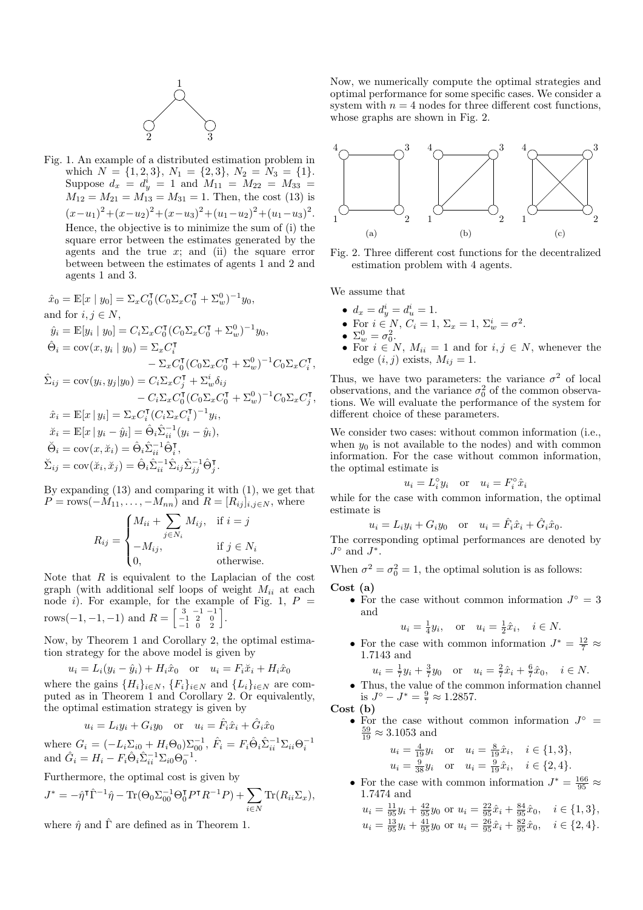

Fig. 1. An example of a distributed estimation problem in which  $N = \{1, 2, 3\}, N_1 = \{2, 3\}, N_2 = N_3 = \{1\}.$ Suppose  $d_x = d_y^i = 1$  and  $M_{11} = M_{22} = M_{33} =$  $M_{12} = M_{21} = M_{13} = M_{31} = 1$ . Then, the cost (13) is  $(x-u_1)^2 + (x-u_2)^2 + (x-u_3)^2 + (u_1-u_2)^2 + (u_1-u_3)^2$ . Hence, the objective is to minimize the sum of (i) the square error between the estimates generated by the agents and the true  $x$ ; and (ii) the square error between between the estimates of agents 1 and 2 and agents 1 and 3.

$$
\hat{x}_0 = \mathbb{E}[x \mid y_0] = \Sigma_x C_0^{\mathsf{T}} (C_0 \Sigma_x C_0^{\mathsf{T}} + \Sigma_w^0)^{-1} y_0,
$$
  
and for  $i, j \in N$ ,  

$$
\hat{y}_i = \mathbb{E}[y_i \mid y_0] = C_i \Sigma_x C_0^{\mathsf{T}} (C_0 \Sigma_x C_0^{\mathsf{T}} + \Sigma_w^0)^{-1} y_0,
$$

$$
\hat{\Theta}_i = \text{cov}(x, y_i \mid y_0) = \Sigma_x C_i^{\mathsf{T}} - \Sigma_x C_0^{\mathsf{T}} (C_0 \Sigma_x C_0^{\mathsf{T}} + \Sigma_w^0)^{-1} C_0 \Sigma_x C_i^{\mathsf{T}},
$$

$$
\hat{\Sigma}_{ij} = \text{cov}(y_i, y_j \mid y_0) = C_i \Sigma_x C_j^{\mathsf{T}} + \Sigma_w^i \delta_{ij}
$$

$$
- C_i \Sigma_x C_0^{\mathsf{T}} (C_0 \Sigma_x C_0^{\mathsf{T}} + \Sigma_w^0)^{-1} C_0 \Sigma_x C_j^{\mathsf{T}},
$$

$$
\hat{x}_i = \mathbb{E}[x \mid y_i] = \Sigma_x C_i^{\mathsf{T}} (C_i \Sigma_x C_i^{\mathsf{T}})^{-1} y_i,
$$

$$
\check{x}_i = \mathbb{E}[x \mid y_i - \hat{y}_i] = \hat{\Theta}_i \hat{\Sigma}_{ii}^{-1} (y_i - \hat{y}_i),
$$

$$
\check{\Theta}_i = \text{cov}(x, \check{x}_i) = \hat{\Theta}_i \hat{\Sigma}_{ii}^{-1} \hat{\Theta}_i^{\mathsf{T}},
$$

$$
\check{\Sigma}_{ij} = \text{cov}(\check{x}_i, \check{x}_j) = \hat{\Theta}_i \hat{\Sigma}_{ii}^{-1} \hat{\Sigma}_{ij} \hat{\Sigma}_{jj}^{-1} \hat{\Theta}_j^{\mathsf{T}}.
$$

By expanding (13) and comparing it with (1), we get that  $P = \text{rows}(-M_{11}, \ldots, -M_{nn})$  and  $R = [R_{ij}]_{i,j \in N}$ , where

$$
R_{ij} = \begin{cases} M_{ii} + \sum_{j \in N_i} M_{ij}, & \text{if } i = j \\ -M_{ij}, & \text{if } j \in N_i \\ 0, & \text{otherwise.} \end{cases}
$$

Note that  $R$  is equivalent to the Laplacian of the cost graph (with additional self loops of weight  $M_{ii}$  at each node i). For example, for the example of Fig. 1,  $P =$ rows(-1, -1, -1) and  $R = \begin{bmatrix} 3 & -1 & -1 \\ -1 & 2 & 0 \\ -1 & 0 & 2 \end{bmatrix}$ .

Now, by Theorem 1 and Corollary 2, the optimal estimation strategy for the above model is given by

$$
u_i = L_i(y_i - \hat{y}_i) + H_i\hat{x}_0 \quad \text{or} \quad u_i = F_i\check{x}_i + H_i\hat{x}_0
$$

where the gains  $\{H_i\}_{i\in N}$ ,  $\{F_i\}_{i\in N}$  and  $\{L_i\}_{i\in N}$  are computed as in Theorem 1 and Corollary 2. Or equivalently, the optimal estimation strategy is given by

$$
u_i = L_i y_i + G_i y_0 \quad \text{or} \quad u_i = \hat{F}_i \hat{x}_i + \hat{G}_i \hat{x}_0
$$

where  $G_i = (-L_i \Sigma_{i0} + H_i \Theta_0) \Sigma_{00}^{-1}, \ \hat{F}_i = F_i \hat{\Theta}_i \hat{\Sigma}_{ii}^{-1} \Sigma_{ii} \Theta_i^{-1}$ <br>and  $\hat{G}_i = H_i - F_i \hat{\Theta}_i \hat{\Sigma}_{ii}^{-1} \Sigma_{i0} \Theta_0^{-1}$ .

Furthermore, the optimal cost is given by

$$
J^* = -\hat{\eta}^\mathsf{T} \hat{\Gamma}^{-1} \hat{\eta} - \text{Tr}(\Theta_0 \Sigma_{00}^{-1} \Theta_0^\mathsf{T} P^\mathsf{T} R^{-1} P) + \sum_{i \in N} \text{Tr}(R_{ii} \Sigma_x),
$$

where  $\hat{\eta}$  and  $\hat{\Gamma}$  are defined as in Theorem 1.

Now, we numerically compute the optimal strategies and optimal performance for some specific cases. We consider a system with  $n = 4$  nodes for three different cost functions, whose graphs are shown in Fig. 2.



Fig. 2. Three different cost functions for the decentralized estimation problem with 4 agents.

We assume that

- $d_x = d_y^i = d_u^i = 1$ .
- For  $i \in N$ ,  $C_i = 1$ ,  $\Sigma_x = 1$ ,  $\Sigma_w^i = \sigma^2$ .
- $\Sigma_w^0 = \sigma_0^2$ .
- For  $i \in N$ ,  $M_{ii} = 1$  and for  $i, j \in N$ , whenever the edge  $(i, j)$  exists,  $M_{ij} = 1$ .

Thus, we have two parameters: the variance  $\sigma^2$  of local observations, and the variance  $\sigma_0^2$  of the common observations. We will evaluate the performance of the system for different choice of these parameters.

We consider two cases: without common information (i.e., when  $y_0$  is not available to the nodes) and with common information. For the case without common information, the optimal estimate is

$$
u_i = L_i^{\circ} y_i
$$
 or  $u_i = F_i^{\circ} \hat{x}_i$ 

while for the case with common information, the optimal estimate is

$$
u_i = L_i y_i + G_i y_0 \quad \text{or} \quad u_i = \hat{F}_i \hat{x}_i + \hat{G}_i \hat{x}_0.
$$

The corresponding optimal performances are denoted by  $J^{\circ}$  and  $J^*.$ 

When  $\sigma^2 = \sigma_0^2 = 1$ , the optimal solution is as follows: Cost (a)

• For the case without common information  $J^{\circ} = 3$ and

$$
u_i = \frac{1}{4}y_i
$$
, or  $u_i = \frac{1}{2}\hat{x}_i$ ,  $i \in N$ .

• For the case with common information  $J^* = \frac{12}{7} \approx$ 1.7143 and

$$
u_i = \frac{1}{7}y_i + \frac{3}{7}y_0
$$
 or  $u_i = \frac{2}{7}\hat{x}_i + \frac{6}{7}\hat{x}_0$ ,  $i \in N$ .

• Thus, the value of the common information channel is  $J^{\circ} - J^* = \frac{9}{7} \approx 1.2857$ .

$$
\mathbf{Cost} \,\,(\mathbf{b})
$$

• For the case without common information  $J^{\circ}$  =  $\frac{59}{19} \approx 3.1053$  and

$$
u_i = \frac{4}{19}y_i \quad \text{or} \quad u_i = \frac{8}{19}\hat{x}_i, \quad i \in \{1, 3\},
$$
  

$$
u_i = \frac{9}{38}y_i \quad \text{or} \quad u_i = \frac{9}{19}\hat{x}_i, \quad i \in \{2, 4\}.
$$

• For the case with common information  $J^* = \frac{166}{95} \approx$ 1.7474 and

$$
u_i = \frac{11}{95}y_i + \frac{42}{95}y_0 \text{ or } u_i = \frac{22}{95}\hat{x}_i + \frac{84}{95}\hat{x}_0, \quad i \in \{1, 3\},
$$
  
\n
$$
u_i = \frac{13}{95}y_i + \frac{41}{95}y_0 \text{ or } u_i = \frac{26}{95}\hat{x}_i + \frac{82}{95}\hat{x}_0, \quad i \in \{2, 4\}.
$$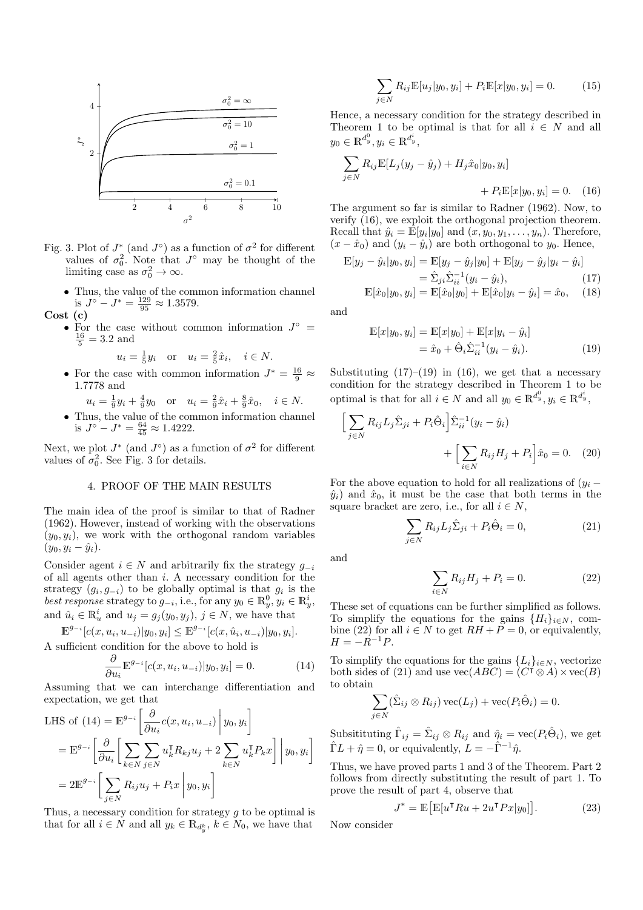

- Fig. 3. Plot of  $J^*$  (and  $J^{\circ}$ ) as a function of  $\sigma^2$  for different values of  $\sigma_0^2$ . Note that  $J^{\circ}$  may be thought of the limiting case as  $\sigma_0^2 \to \infty$ .
	- $\bullet$  Thus, the value of the common information channel is  $J^{\circ} - J^* = \frac{129}{95} \approx 1.3579.$
- Cost (c)
	- For the case without common information  $J^{\circ} = \frac{16}{5} = 3.2$  and

$$
u_i = \frac{1}{5}y_i
$$
 or  $u_i = \frac{2}{5}\hat{x}_i$ ,  $i \in N$ .

- For the case with common information  $J^* = \frac{16}{9} \approx$ 1.7778 and
	- $u_i = \frac{1}{9}y_i + \frac{4}{9}y_0$  or  $u_i = \frac{2}{9}\hat{x}_i + \frac{8}{9}\hat{x}_0$ ,  $i \in N$ .
- Thus, the value of the common information channel is  $J^{\circ} - J^* = \frac{64}{45} \approx 1.4222$ .

Next, we plot  $J^*$  (and  $J^{\circ}$ ) as a function of  $\sigma^2$  for different values of  $\sigma_0^2$ . See Fig. 3 for details.

#### 4. PROOF OF THE MAIN RESULTS

The main idea of the proof is similar to that of Radner (1962). However, instead of working with the observations  $(y_0, y_i)$ , we work with the orthogonal random variables  $(y_0, y_i - \hat{y}_i).$ 

Consider agent  $i \in N$  and arbitrarily fix the strategy  $g_{-i}$ of all agents other than i. A necessary condition for the strategy  $(g_i, g_{-i})$  to be globally optimal is that  $g_i$  is the *best response* strategy to  $g_{-i}$ , i.e., for any  $y_0 \in \mathbb{R}^0_y$ ,  $y_i \in \mathbb{R}^i_y$ , and  $\hat{u}_i \in \mathbb{R}_u^i$  and  $u_j = g_j(y_0, y_j)$ ,  $j \in \mathbb{N}$ , we have that

$$
\mathbb{E}^{g_{-i}}[c(x, u_i, u_{-i})|y_0, y_i] \leq \mathbb{E}^{g_{-i}}[c(x, \hat{u}_i, u_{-i})|y_0, y_i].
$$
  
A sufficient condition for the above to hold is

$$
\frac{\partial}{\partial \mathbf{E}^{g-i} \mathbf{A}} \mathbf{A} \mathbf{A} \mathbf{A} \mathbf{A} \mathbf{A}
$$

$$
\frac{\partial}{\partial u_i} \mathbb{E}^{g_{-i}}[c(x, u_i, u_{-i})|y_0, y_i] = 0.
$$
 (14)

Assuming that we can interchange differentiation and expectation, we get that

LHS of (14) = 
$$
\mathbb{E}^{g_{-i}} \left[ \frac{\partial}{\partial u_i} c(x, u_i, u_{-i}) \middle| y_0, y_i \right]
$$
  
\n=  $\mathbb{E}^{g_{-i}} \left[ \frac{\partial}{\partial u_i} \left[ \sum_{k \in N} \sum_{j \in N} u_k^{\mathsf{T}} R_{kj} u_j + 2 \sum_{k \in N} u_k^{\mathsf{T}} P_k x \right] \middle| y_0, y_i \right]$   
\n=  $2 \mathbb{E}^{g_{-i}} \left[ \sum_{j \in N} R_{ij} u_j + P_i x \middle| y_0, y_i \right]$ 

Thus, a necessary condition for strategy  $g$  to be optimal is that for all  $i \in \tilde{N}$  and all  $y_k \in \mathbb{R}_{d_y^k}$ ,  $k \in \tilde{N}_0$ , we have that

$$
\sum_{j \in N} R_{ij} \mathbb{E}[u_j|y_0, y_i] + P_i \mathbb{E}[x|y_0, y_i] = 0.
$$
 (15)

Hence, a necessary condition for the strategy described in Theorem 1 to be optimal is that for all  $i \in N$  and all  $y_0 \in \mathbb{R}^{d_y^0}, y_i \in \mathbb{R}^{d_y^i},$ 

$$
\sum_{j \in N} R_{ij} \mathbb{E}[L_j(y_j - \hat{y}_j) + H_j \hat{x}_0 | y_0, y_i] + P_i \mathbb{E}[x | y_0, y_i] = 0.
$$
 (16)

The argument so far is similar to Radner (1962). Now, to verify (16), we exploit the orthogonal projection theorem. Recall that  $\hat{y}_i = \mathbb{E}[y_i|y_0]$  and  $(x, y_0, y_1, \ldots, y_n)$ . Therefore,  $(x - \hat{x}_0)$  and  $(y_i - \hat{y}_i)$  are both orthogonal to  $y_0$ . Hence,

$$
\mathbb{E}[y_j - \hat{y}_i | y_0, y_i] = \mathbb{E}[y_j - \hat{y}_j | y_0] + \mathbb{E}[y_j - \hat{y}_j | y_i - \hat{y}_i]
$$
  
\n
$$
= \hat{\Sigma}_{ji} \hat{\Sigma}_{ii}^{-1} (y_i - \hat{y}_i),
$$
(17)  
\n
$$
\mathbb{E}[\hat{x}_0 | y_0, y_i] = \mathbb{E}[\hat{x}_0 | y_0] + \mathbb{E}[\hat{x}_0 | y_i - \hat{y}_i] = \hat{x}_0,
$$
(18)

and

$$
\mathbb{E}[x|y_0, y_i] = \mathbb{E}[x|y_0] + \mathbb{E}[x|y_i - \hat{y}_i] \n= \hat{x}_0 + \hat{\Theta}_i \hat{\Sigma}_{ii}^{-1} (y_i - \hat{y}_i).
$$
\n(19)

Substituting  $(17)$ – $(19)$  in  $(16)$ , we get that a necessary condition for the strategy described in Theorem 1 to be optimal is that for all  $i \in N$  and all  $y_0 \in \mathbb{R}^{d_y^0}, y_i \in \mathbb{R}^{d_y^i}$ ,

$$
\left[\sum_{j\in N} R_{ij} L_j \hat{\Sigma}_{ji} + P_i \hat{\Theta}_i\right] \hat{\Sigma}_{ii}^{-1} (y_i - \hat{y}_i) + \left[\sum_{i\in N} R_{ij} H_j + P_i\right] \hat{x}_0 = 0. \quad (20)
$$

For the above equation to hold for all realizations of  $(y_i \hat{y}_i$  and  $\hat{x}_0$ , it must be the case that both terms in the square bracket are zero, i.e., for all  $i \in N$ ,

$$
\sum_{j \in N} R_{ij} L_j \hat{\Sigma}_{ji} + P_i \hat{\Theta}_i = 0,
$$
\n(21)

and

$$
\sum_{i \in N} R_{ij} H_j + P_i = 0.
$$
\n
$$
(22)
$$

These set of equations can be further simplified as follows. To simplify the equations for the gains  $\{H_i\}_{i\in\mathbb{N}}$ , combine (22) for all  $i \in N$  to get  $RH + P = 0$ , or equivalently,  $H = -R^{-1}P$ .

To simplify the equations for the gains  ${L_i}_{i\in N}$ , vectorize both sides of (21) and use  $\text{vec}(ABC) = (C^{\dagger} \otimes A) \times \text{vec}(B)$ to obtain

$$
\sum_{j \in N} (\hat{\Sigma}_{ij} \otimes R_{ij}) \operatorname{vec}(L_j) + \operatorname{vec}(P_i \hat{\Theta}_i) = 0.
$$

Subsitituting  $\hat{\Gamma}_{ij} = \hat{\Sigma}_{ij} \otimes R_{ij}$  and  $\hat{\eta}_i = \text{vec}(P_i \hat{\Theta}_i)$ , we get  $\hat{\Gamma} L + \hat{\eta} = 0$ , or equivalently,  $L = -\hat{\Gamma}^{-1}\hat{\eta}$ .

Thus, we have proved parts 1 and 3 of the Theorem. Part 2 follows from directly substituting the result of part 1. To prove the result of part 4, observe that

$$
J^* = \mathbb{E}\big[\mathbb{E}[u^{\mathsf{T}} Ru + 2u^{\mathsf{T}} Px|y_0]\big].\tag{23}
$$

Now consider